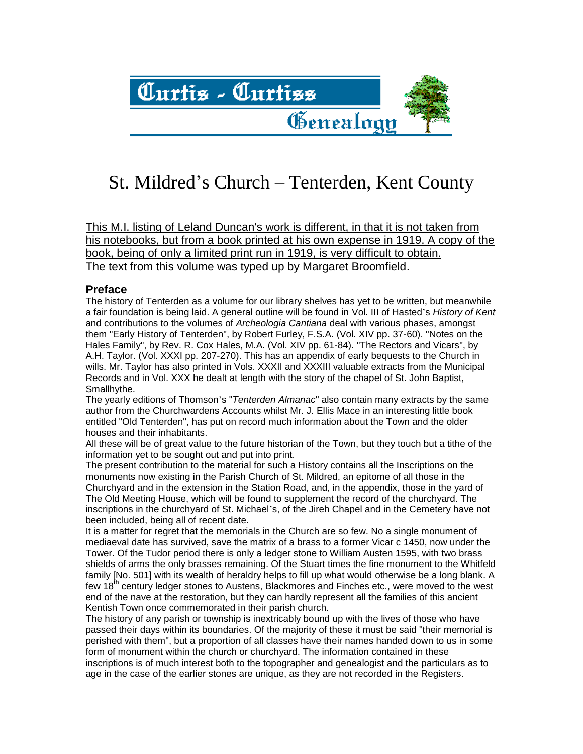

# St. Mildred's Church – Tenterden, Kent County

This M.I. listing of Leland Duncan's work is different, in that it is not taken from his notebooks, but from a book printed at his own expense in 1919. A copy of the book, being of only a limited print run in 1919, is very difficult to obtain. The text from this volume was typed up by Margaret Broomfield.

#### **Preface**

The history of Tenterden as a volume for our library shelves has yet to be written, but meanwhile a fair foundation is being laid. A general outline will be found in Vol. III of Hasted's *History of Kent* and contributions to the volumes of *Archeologia Cantiana* deal with various phases, amongst them "Early History of Tenterden", by Robert Furley, F.S.A. (Vol. XIV pp. 37-60). "Notes on the Hales Family", by Rev. R. Cox Hales, M.A. (Vol. XIV pp. 61-84). "The Rectors and Vicars", by A.H. Taylor. (Vol. XXXI pp. 207-270). This has an appendix of early bequests to the Church in wills. Mr. Taylor has also printed in Vols. XXXII and XXXIII valuable extracts from the Municipal Records and in Vol. XXX he dealt at length with the story of the chapel of St. John Baptist, Smallhythe.

The yearly editions of Thomson's "*Tenterden Almanac*" also contain many extracts by the same author from the Churchwardens Accounts whilst Mr. J. Ellis Mace in an interesting little book entitled "Old Tenterden", has put on record much information about the Town and the older houses and their inhabitants.

All these will be of great value to the future historian of the Town, but they touch but a tithe of the information yet to be sought out and put into print.

The present contribution to the material for such a History contains all the Inscriptions on the monuments now existing in the Parish Church of St. Mildred, an epitome of all those in the Churchyard and in the extension in the Station Road, and, in the appendix, those in the yard of The Old Meeting House, which will be found to supplement the record of the churchyard. The inscriptions in the churchyard of St. Michael's, of the Jireh Chapel and in the Cemetery have not been included, being all of recent date.

It is a matter for regret that the memorials in the Church are so few. No a single monument of mediaeval date has survived, save the matrix of a brass to a former Vicar c 1450, now under the Tower. Of the Tudor period there is only a ledger stone to William Austen 1595, with two brass shields of arms the only brasses remaining. Of the Stuart times the fine monument to the Whitfeld family [No. 501] with its wealth of heraldry helps to fill up what would otherwise be a long blank. A few 18<sup>th</sup> century ledger stones to Austens, Blackmores and Finches etc., were moved to the west end of the nave at the restoration, but they can hardly represent all the families of this ancient Kentish Town once commemorated in their parish church.

The history of any parish or township is inextricably bound up with the lives of those who have passed their days within its boundaries. Of the majority of these it must be said "their memorial is perished with them", but a proportion of all classes have their names handed down to us in some form of monument within the church or churchyard. The information contained in these inscriptions is of much interest both to the topographer and genealogist and the particulars as to age in the case of the earlier stones are unique, as they are not recorded in the Registers.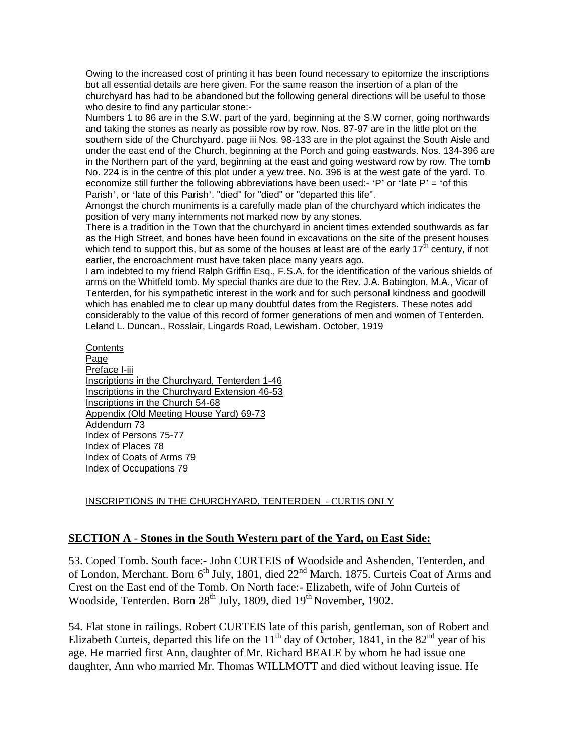Owing to the increased cost of printing it has been found necessary to epitomize the inscriptions but all essential details are here given. For the same reason the insertion of a plan of the churchyard has had to be abandoned but the following general directions will be useful to those who desire to find any particular stone:-

Numbers 1 to 86 are in the S.W. part of the yard, beginning at the S.W corner, going northwards and taking the stones as nearly as possible row by row. Nos. 87-97 are in the little plot on the southern side of the Churchyard. page iii Nos. 98-133 are in the plot against the South Aisle and under the east end of the Church, beginning at the Porch and going eastwards. Nos. 134-396 are in the Northern part of the yard, beginning at the east and going westward row by row. The tomb No. 224 is in the centre of this plot under a yew tree. No. 396 is at the west gate of the yard. To economize still further the following abbreviations have been used:- 'P' or 'late P' = 'of this Parish', or 'late of this Parish'. "died" for "died" or "departed this life".

Amongst the church muniments is a carefully made plan of the churchyard which indicates the position of very many internments not marked now by any stones.

There is a tradition in the Town that the churchyard in ancient times extended southwards as far as the High Street, and bones have been found in excavations on the site of the present houses which tend to support this, but as some of the houses at least are of the early 17<sup>th</sup> century, if not earlier, the encroachment must have taken place many years ago.

I am indebted to my friend Ralph Griffin Esq., F.S.A. for the identification of the various shields of arms on the Whitfeld tomb. My special thanks are due to the Rev. J.A. Babington, M.A., Vicar of Tenterden, for his sympathetic interest in the work and for such personal kindness and goodwill which has enabled me to clear up many doubtful dates from the Registers. These notes add considerably to the value of this record of former generations of men and women of Tenterden. Leland L. Duncan., Rosslair, Lingards Road, Lewisham. October, 1919

**Contents** Page Preface I-iii Inscriptions in the Churchyard, Tenterden 1-46 Inscriptions in the Churchyard Extension 46-53 Inscriptions in the Church 54-68 Appendix (Old Meeting House Yard) 69-73 Addendum 73 Index of Persons 75-77 Index of Places 78 Index of Coats of Arms 79 Index of Occupations 79

#### INSCRIPTIONS IN THE CHURCHYARD, TENTERDEN - CURTIS ONLY

#### **SECTION A** - **Stones in the South Western part of the Yard, on East Side:**

53. Coped Tomb. South face:- John CURTEIS of Woodside and Ashenden, Tenterden, and of London, Merchant. Born  $6<sup>th</sup>$  July, 1801, died  $22<sup>nd</sup>$  March. 1875. Curteis Coat of Arms and Crest on the East end of the Tomb. On North face:- Elizabeth, wife of John Curteis of Woodside, Tenterden. Born 28<sup>th</sup> July, 1809, died 19<sup>th</sup> November, 1902.

54. Flat stone in railings. Robert CURTEIS late of this parish, gentleman, son of Robert and Elizabeth Curteis, departed this life on the  $11<sup>th</sup>$  day of October, 1841, in the  $82<sup>nd</sup>$  year of his age. He married first Ann, daughter of Mr. Richard BEALE by whom he had issue one daughter, Ann who married Mr. Thomas WILLMOTT and died without leaving issue. He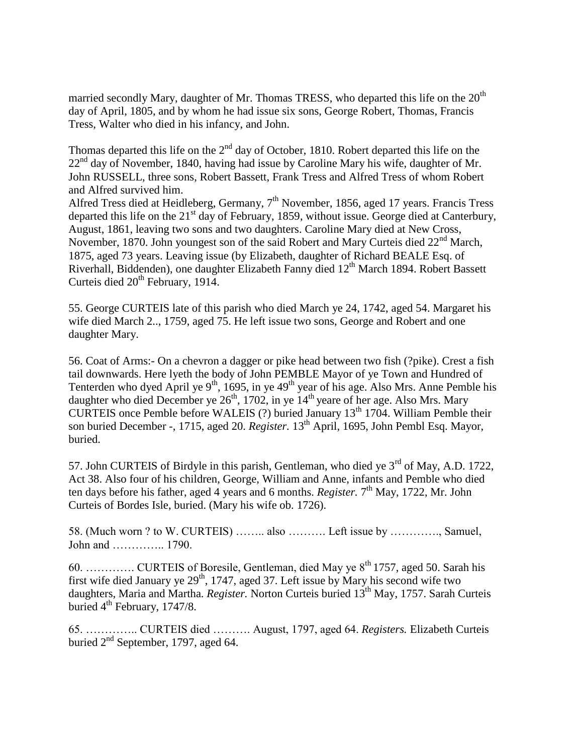married secondly Mary, daughter of Mr. Thomas TRESS, who departed this life on the  $20<sup>th</sup>$ day of April, 1805, and by whom he had issue six sons, George Robert, Thomas, Francis Tress, Walter who died in his infancy, and John.

Thomas departed this life on the  $2<sup>nd</sup>$  day of October, 1810. Robert departed this life on the  $22<sup>nd</sup>$  day of November, 1840, having had issue by Caroline Mary his wife, daughter of Mr. John RUSSELL, three sons, Robert Bassett, Frank Tress and Alfred Tress of whom Robert and Alfred survived him.

Alfred Tress died at Heidleberg, Germany, 7<sup>th</sup> November, 1856, aged 17 years. Francis Tress departed this life on the  $21<sup>st</sup>$  day of February, 1859, without issue. George died at Canterbury, August, 1861, leaving two sons and two daughters. Caroline Mary died at New Cross, November, 1870. John youngest son of the said Robert and Mary Curteis died  $22<sup>nd</sup>$  March, 1875, aged 73 years. Leaving issue (by Elizabeth, daughter of Richard BEALE Esq. of Riverhall, Biddenden), one daughter Elizabeth Fanny died 12<sup>th</sup> March 1894. Robert Bassett Curteis died  $20<sup>th</sup>$  February, 1914.

55. George CURTEIS late of this parish who died March ye 24, 1742, aged 54. Margaret his wife died March 2.., 1759, aged 75. He left issue two sons, George and Robert and one daughter Mary.

56. Coat of Arms:- On a chevron a dagger or pike head between two fish (?pike). Crest a fish tail downwards. Here lyeth the body of John PEMBLE Mayor of ye Town and Hundred of Tenterden who dyed April ye  $9<sup>th</sup>$ , 1695, in ye  $49<sup>th</sup>$  year of his age. Also Mrs. Anne Pemble his daughter who died December ye  $26<sup>th</sup>$ , 1702, in ye  $14<sup>th</sup>$  yeare of her age. Also Mrs. Mary CURTEIS once Pemble before WALEIS  $(?)$  buried January 13<sup>th</sup> 1704. William Pemble their son buried December -, 1715, aged 20. *Register*. 13<sup>th</sup> April, 1695, John Pembl Esq. Mayor, buried.

57. John CURTEIS of Birdyle in this parish, Gentleman, who died ye  $3<sup>rd</sup>$  of May, A.D. 1722, Act 38. Also four of his children, George, William and Anne, infants and Pemble who died ten days before his father, aged 4 years and 6 months. *Register*. 7<sup>th</sup> May, 1722, Mr. John Curteis of Bordes Isle, buried. (Mary his wife ob. 1726).

58. (Much worn ? to W. CURTEIS) …….. also ………. Left issue by …………., Samuel, John and ………….. 1790.

60. …………. CURTEIS of Boresile, Gentleman, died May ye 8th 1757, aged 50. Sarah his first wife died January ye  $29<sup>th</sup>$ , 1747, aged 37. Left issue by Mary his second wife two daughters, Maria and Martha. *Register.* Norton Curteis buried 13th May, 1757. Sarah Curteis buried  $4<sup>th</sup>$  February, 1747/8.

65. ………….. CURTEIS died ………. August, 1797, aged 64. *Registers.* Elizabeth Curteis buried  $2<sup>nd</sup>$  September, 1797, aged 64.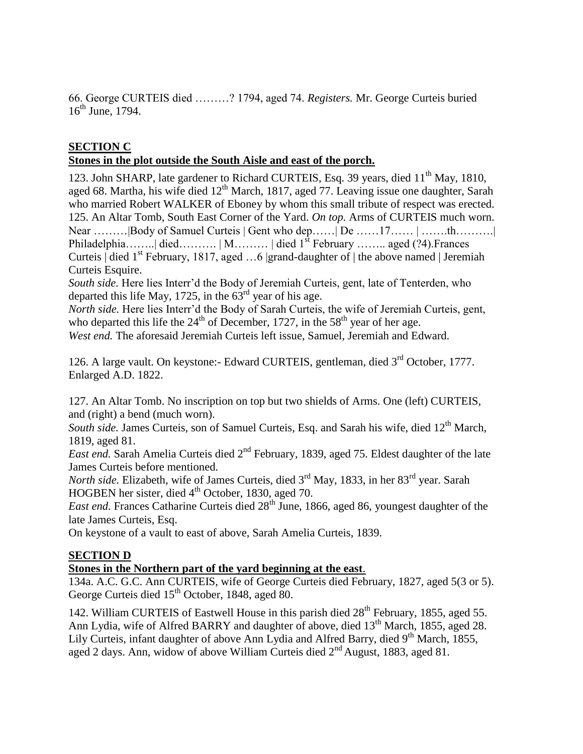66. George CURTEIS died ………? 1794, aged 74. *Registers.* Mr. George Curteis buried  $16<sup>th</sup>$  June, 1794.

## **SECTION C**

## **Stones in the plot outside the South Aisle and east of the porch.**

123. John SHARP, late gardener to Richard CURTEIS, Esq. 39 years, died 11<sup>th</sup> May, 1810, aged 68. Martha, his wife died 12<sup>th</sup> March, 1817, aged 77. Leaving issue one daughter, Sarah who married Robert WALKER of Eboney by whom this small tribute of respect was erected. 125. An Altar Tomb, South East Corner of the Yard. *On top.* Arms of CURTEIS much worn. Near ………|Body of Samuel Curteis | Gent who dep……| De ……17…… | …….th……….| Philadelphia……...| died………. | M………. | died  $1^{st}$  February …….. aged (?4). Frances Curteis  $\det$  1<sup>st</sup> February, 1817, aged ...6 |grand-daughter of | the above named | Jeremiah Curteis Esquire.

*South side.* Here lies Interr'd the Body of Jeremiah Curteis, gent, late of Tenterden, who departed this life May, 1725, in the  $63<sup>rd</sup>$  year of his age.

*North side.* Here lies Interr'd the Body of Sarah Curteis, the wife of Jeremiah Curteis, gent, who departed this life the  $24<sup>th</sup>$  of December, 1727, in the  $58<sup>th</sup>$  year of her age.

*West end.* The aforesaid Jeremiah Curteis left issue, Samuel, Jeremiah and Edward.

126. A large vault. On keystone:- Edward CURTEIS, gentleman, died 3rd October, 1777. Enlarged A.D. 1822.

127. An Altar Tomb. No inscription on top but two shields of Arms. One (left) CURTEIS, and (right) a bend (much worn).

South side. James Curteis, son of Samuel Curteis, Esq. and Sarah his wife, died 12<sup>th</sup> March, 1819, aged 81.

*East end.* Sarah Amelia Curteis died 2<sup>nd</sup> February, 1839, aged 75. Eldest daughter of the late James Curteis before mentioned.

*North side.* Elizabeth, wife of James Curteis, died 3rd May, 1833, in her 83rd year. Sarah HOGBEN her sister, died 4<sup>th</sup> October, 1830, aged 70.

*East end.* Frances Catharine Curteis died  $28<sup>th</sup>$  June, 1866, aged 86, youngest daughter of the late James Curteis, Esq.

On keystone of a vault to east of above, Sarah Amelia Curteis, 1839.

## **SECTION D**

## **Stones in the Northern part of the yard beginning at the east**.

134a. A.C. G.C. Ann CURTEIS, wife of George Curteis died February, 1827, aged 5(3 or 5). George Curteis died  $15<sup>th</sup>$  October, 1848, aged 80.

142. William CURTEIS of Eastwell House in this parish died 28<sup>th</sup> February, 1855, aged 55. Ann Lydia, wife of Alfred BARRY and daughter of above, died 13<sup>th</sup> March, 1855, aged 28. Lily Curteis, infant daughter of above Ann Lydia and Alfred Barry, died 9<sup>th</sup> March, 1855, aged 2 days. Ann, widow of above William Curteis died  $2<sup>nd</sup>$  August, 1883, aged 81.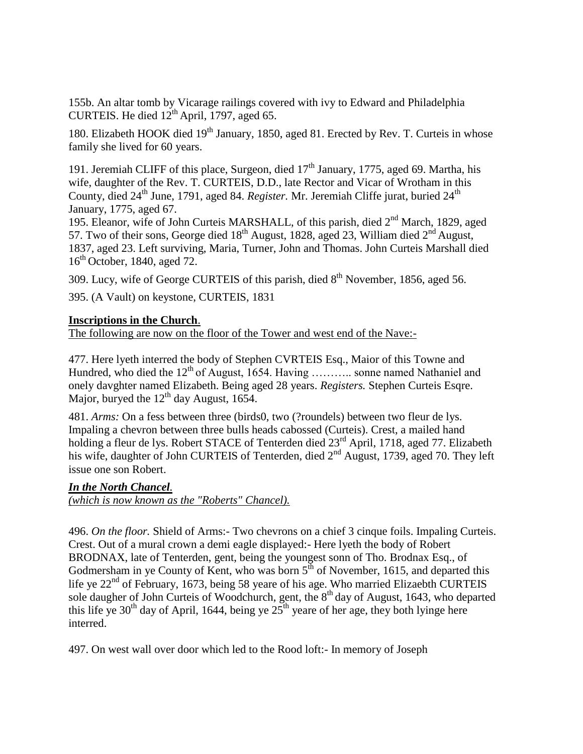155b. An altar tomb by Vicarage railings covered with ivy to Edward and Philadelphia CURTEIS. He died  $12^{th}$  April, 1797, aged 65.

180. Elizabeth HOOK died 19<sup>th</sup> January, 1850, aged 81. Erected by Rev. T. Curteis in whose family she lived for 60 years.

191. Jeremiah CLIFF of this place, Surgeon, died  $17<sup>th</sup>$  January, 1775, aged 69. Martha, his wife, daughter of the Rev. T. CURTEIS, D.D., late Rector and Vicar of Wrotham in this County, died 24<sup>th</sup> June, 1791, aged 84. *Register*. Mr. Jeremiah Cliffe jurat, buried 24<sup>th</sup> January, 1775, aged 67.

195. Eleanor, wife of John Curteis MARSHALL, of this parish, died 2<sup>nd</sup> March, 1829, aged 57. Two of their sons, George died  $18<sup>th</sup>$  August, 1828, aged 23, William died  $2<sup>nd</sup>$  August, 1837, aged 23. Left surviving, Maria, Turner, John and Thomas. John Curteis Marshall died 16<sup>th</sup> October, 1840, aged 72.

309. Lucy, wife of George CURTEIS of this parish, died  $8<sup>th</sup>$  November, 1856, aged 56.

395. (A Vault) on keystone, CURTEIS, 1831

#### **Inscriptions in the Church**.

The following are now on the floor of the Tower and west end of the Nave:-

477. Here lyeth interred the body of Stephen CVRTEIS Esq., Maior of this Towne and Hundred, who died the  $12<sup>th</sup>$  of August, 1654. Having ……….. sonne named Nathaniel and onely davghter named Elizabeth. Being aged 28 years. *Registers.* Stephen Curteis Esqre. Major, buryed the  $12<sup>th</sup>$  day August, 1654.

481. *Arms:* On a fess between three (birds0, two (?roundels) between two fleur de lys. Impaling a chevron between three bulls heads cabossed (Curteis). Crest, a mailed hand holding a fleur de lys. Robert STACE of Tenterden died 23<sup>rd</sup> April, 1718, aged 77. Elizabeth his wife, daughter of John CURTEIS of Tenterden, died 2<sup>nd</sup> August, 1739, aged 70. They left issue one son Robert.

## *In the North Chancel.*

*(which is now known as the "Roberts" Chancel).*

496. *On the floor.* Shield of Arms:- Two chevrons on a chief 3 cinque foils. Impaling Curteis. Crest. Out of a mural crown a demi eagle displayed:- Here lyeth the body of Robert BRODNAX, late of Tenterden, gent, being the youngest sonn of Tho. Brodnax Esq., of Godmersham in ye County of Kent, who was born  $5<sup>th</sup>$  of November, 1615, and departed this life ye 22<sup>nd</sup> of February, 1673, being 58 yeare of his age. Who married Elizaebth CURTEIS sole daugher of John Curteis of Woodchurch, gent, the 8<sup>th</sup> day of August, 1643, who departed this life ye 30<sup>th</sup> day of April, 1644, being ye  $25<sup>th</sup>$  yeare of her age, they both lyinge here interred.

497. On west wall over door which led to the Rood loft:- In memory of Joseph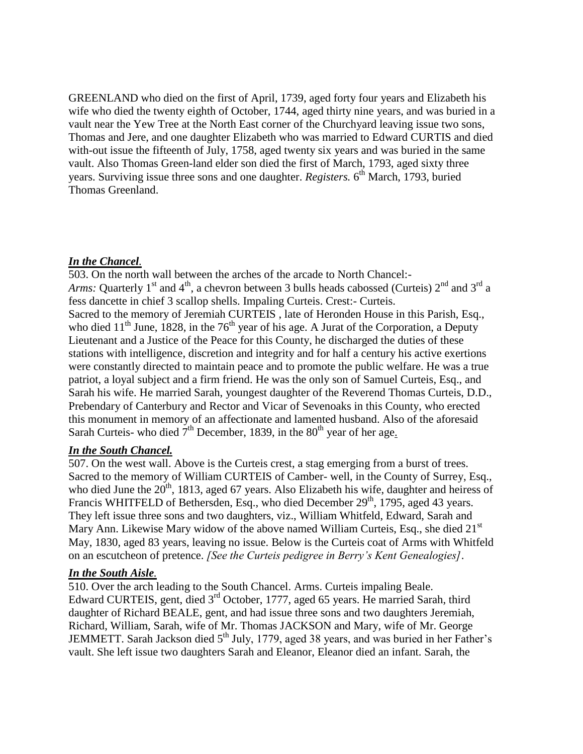GREENLAND who died on the first of April, 1739, aged forty four years and Elizabeth his wife who died the twenty eighth of October, 1744, aged thirty nine years, and was buried in a vault near the Yew Tree at the North East corner of the Churchyard leaving issue two sons, Thomas and Jere, and one daughter Elizabeth who was married to Edward CURTIS and died with-out issue the fifteenth of July, 1758, aged twenty six years and was buried in the same vault. Also Thomas Green-land elder son died the first of March, 1793, aged sixty three years. Surviving issue three sons and one daughter. *Registers*. 6<sup>th</sup> March, 1793, buried Thomas Greenland.

## *In the Chancel.*

503. On the north wall between the arches of the arcade to North Chancel:- *Arms:* Quarterly 1<sup>st</sup> and 4<sup>th</sup>, a chevron between 3 bulls heads cabossed (Curteis)  $2^{nd}$  and  $3^{rd}$  a fess dancette in chief 3 scallop shells. Impaling Curteis. Crest:- Curteis. Sacred to the memory of Jeremiah CURTEIS , late of Heronden House in this Parish, Esq., who died  $11<sup>th</sup>$  June, 1828, in the 76<sup>th</sup> year of his age. A Jurat of the Corporation, a Deputy Lieutenant and a Justice of the Peace for this County, he discharged the duties of these stations with intelligence, discretion and integrity and for half a century his active exertions were constantly directed to maintain peace and to promote the public welfare. He was a true patriot, a loyal subject and a firm friend. He was the only son of Samuel Curteis, Esq., and Sarah his wife. He married Sarah, youngest daughter of the Reverend Thomas Curteis, D.D., Prebendary of Canterbury and Rector and Vicar of Sevenoaks in this County, who erected this monument in memory of an affectionate and lamented husband. Also of the aforesaid Sarah Curteis- who died  $7<sup>th</sup>$  December, 1839, in the 80<sup>th</sup> year of her age.

## *In the South Chancel.*

507. On the west wall. Above is the Curteis crest, a stag emerging from a burst of trees. Sacred to the memory of William CURTEIS of Camber- well, in the County of Surrey, Esq., who died June the  $20<sup>th</sup>$ , 1813, aged 67 years. Also Elizabeth his wife, daughter and heiress of Francis WHITFELD of Bethersden, Esq., who died December 29<sup>th</sup>, 1795, aged 43 years. They left issue three sons and two daughters, viz., William Whitfeld, Edward, Sarah and Mary Ann. Likewise Mary widow of the above named William Curteis, Esq., she died 21<sup>st</sup> May, 1830, aged 83 years, leaving no issue. Below is the Curteis coat of Arms with Whitfeld on an escutcheon of pretence. *[See the Curteis pedigree in Berry's Kent Genealogies]*.

## *In the South Aisle.*

510. Over the arch leading to the South Chancel. Arms. Curteis impaling Beale. Edward CURTEIS, gent, died  $3<sup>rd</sup>$  October, 1777, aged 65 years. He married Sarah, third daughter of Richard BEALE, gent, and had issue three sons and two daughters Jeremiah, Richard, William, Sarah, wife of Mr. Thomas JACKSON and Mary, wife of Mr. George JEMMETT. Sarah Jackson died 5<sup>th</sup> July, 1779, aged 38 years, and was buried in her Father's vault. She left issue two daughters Sarah and Eleanor, Eleanor died an infant. Sarah, the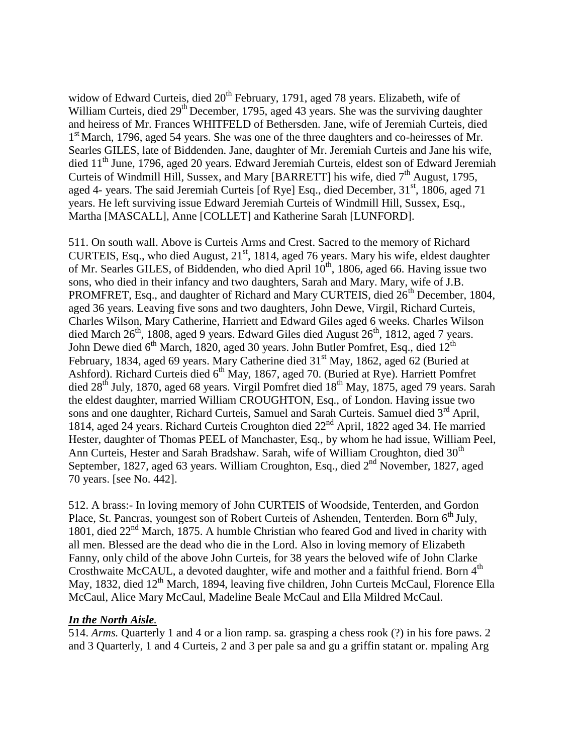widow of Edward Curteis, died  $20^{th}$  February, 1791, aged 78 years. Elizabeth, wife of William Curteis, died 29<sup>th</sup> December, 1795, aged 43 years. She was the surviving daughter and heiress of Mr. Frances WHITFELD of Bethersden. Jane, wife of Jeremiah Curteis, died 1<sup>st</sup> March, 1796, aged 54 years. She was one of the three daughters and co-heiresses of Mr. Searles GILES, late of Biddenden. Jane, daughter of Mr. Jeremiah Curteis and Jane his wife, died 11<sup>th</sup> June, 1796, aged 20 years. Edward Jeremiah Curteis, eldest son of Edward Jeremiah Curteis of Windmill Hill, Sussex, and Mary [BARRETT] his wife, died  $7<sup>th</sup>$  August, 1795, aged 4- years. The said Jeremiah Curteis [of Rye] Esq., died December,  $31<sup>st</sup>$ , 1806, aged 71 years. He left surviving issue Edward Jeremiah Curteis of Windmill Hill, Sussex, Esq., Martha [MASCALL], Anne [COLLET] and Katherine Sarah [LUNFORD].

511. On south wall. Above is Curteis Arms and Crest. Sacred to the memory of Richard CURTEIS, Esq., who died August,  $21<sup>st</sup>$ , 1814, aged 76 years. Mary his wife, eldest daughter of Mr. Searles GILES, of Biddenden, who died April 10<sup>th</sup>, 1806, aged 66. Having issue two sons, who died in their infancy and two daughters, Sarah and Mary. Mary, wife of J.B. PROMFRET, Esq., and daughter of Richard and Mary CURTEIS, died  $26<sup>th</sup>$  December, 1804, aged 36 years. Leaving five sons and two daughters, John Dewe, Virgil, Richard Curteis, Charles Wilson, Mary Catherine, Harriett and Edward Giles aged 6 weeks. Charles Wilson died March 26<sup>th</sup>, 1808, aged 9 years. Edward Giles died August 26<sup>th</sup>, 1812, aged 7 years. John Dewe died  $6<sup>th</sup>$  March, 1820, aged 30 years. John Butler Pomfret, Esq., died 12<sup>th</sup> February, 1834, aged 69 years. Mary Catherine died 31<sup>st</sup> May, 1862, aged 62 (Buried at Ashford). Richard Curteis died  $6<sup>th</sup>$  May, 1867, aged 70. (Buried at Rye). Harriett Pomfret died  $28<sup>th</sup>$  July, 1870, aged 68 years. Virgil Pomfret died  $18<sup>th</sup>$  May, 1875, aged 79 years. Sarah the eldest daughter, married William CROUGHTON, Esq., of London. Having issue two sons and one daughter, Richard Curteis, Samuel and Sarah Curteis. Samuel died 3<sup>rd</sup> April, 1814, aged 24 years. Richard Curteis Croughton died 22nd April, 1822 aged 34. He married Hester, daughter of Thomas PEEL of Manchaster, Esq., by whom he had issue, William Peel, Ann Curteis, Hester and Sarah Bradshaw. Sarah, wife of William Croughton, died  $30<sup>th</sup>$ September, 1827, aged 63 years. William Croughton, Esq., died 2<sup>nd</sup> November, 1827, aged 70 years. [see No. 442].

512. A brass:- In loving memory of John CURTEIS of Woodside, Tenterden, and Gordon Place, St. Pancras, youngest son of Robert Curteis of Ashenden, Tenterden. Born 6<sup>th</sup> July, 1801, died 22nd March, 1875. A humble Christian who feared God and lived in charity with all men. Blessed are the dead who die in the Lord. Also in loving memory of Elizabeth Fanny, only child of the above John Curteis, for 38 years the beloved wife of John Clarke Crosthwaite McCAUL, a devoted daughter, wife and mother and a faithful friend. Born 4<sup>th</sup> May, 1832, died 12<sup>th</sup> March, 1894, leaving five children, John Curteis McCaul, Florence Ella McCaul, Alice Mary McCaul, Madeline Beale McCaul and Ella Mildred McCaul.

## *In the North Aisle.*

514. *Arms.* Quarterly 1 and 4 or a lion ramp. sa. grasping a chess rook (?) in his fore paws. 2 and 3 Quarterly, 1 and 4 Curteis, 2 and 3 per pale sa and gu a griffin statant or. mpaling Arg